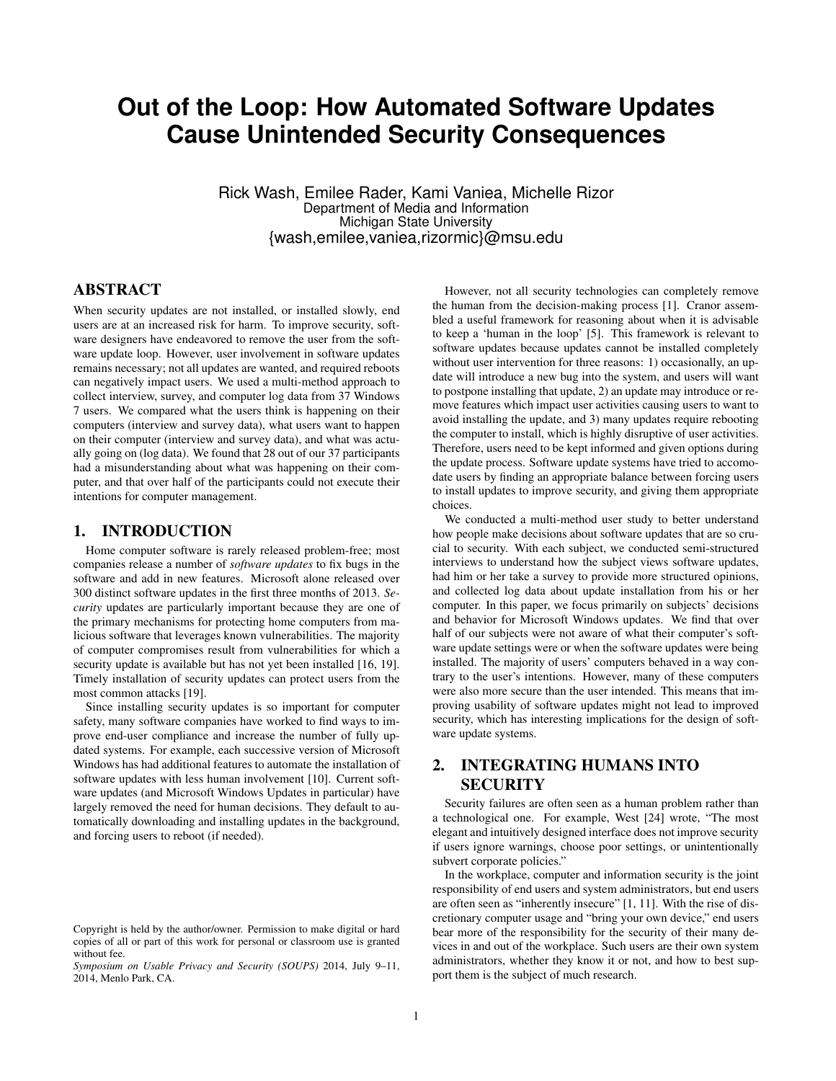# **Out of the Loop: How Automated Software Updates Cause Unintended Security Consequences**

Rick Wash, Emilee Rader, Kami Vaniea, Michelle Rizor Department of Media and Information Michigan State University {wash,emilee,vaniea,rizormic}@msu.edu

# ABSTRACT

When security updates are not installed, or installed slowly, end users are at an increased risk for harm. To improve security, software designers have endeavored to remove the user from the software update loop. However, user involvement in software updates remains necessary; not all updates are wanted, and required reboots can negatively impact users. We used a multi-method approach to collect interview, survey, and computer log data from 37 Windows 7 users. We compared what the users think is happening on their computers (interview and survey data), what users want to happen on their computer (interview and survey data), and what was actually going on (log data). We found that 28 out of our 37 participants had a misunderstanding about what was happening on their computer, and that over half of the participants could not execute their intentions for computer management.

## 1. INTRODUCTION

Home computer software is rarely released problem-free; most companies release a number of *software updates* to fix bugs in the software and add in new features. Microsoft alone released over 300 distinct software updates in the first three months of 2013. *Security* updates are particularly important because they are one of the primary mechanisms for protecting home computers from malicious software that leverages known vulnerabilities. The majority of computer compromises result from vulnerabilities for which a security update is available but has not yet been installed [\[16,](#page-9-0) [19\]](#page-9-1). Timely installation of security updates can protect users from the most common attacks [\[19\]](#page-9-1).

Since installing security updates is so important for computer safety, many software companies have worked to find ways to improve end-user compliance and increase the number of fully updated systems. For example, each successive version of Microsoft Windows has had additional features to automate the installation of software updates with less human involvement [\[10\]](#page-8-0). Current software updates (and Microsoft Windows Updates in particular) have largely removed the need for human decisions. They default to automatically downloading and installing updates in the background, and forcing users to reboot (if needed).

However, not all security technologies can completely remove the human from the decision-making process [\[1\]](#page-8-1). Cranor assembled a useful framework for reasoning about when it is advisable to keep a 'human in the loop' [\[5\]](#page-8-2). This framework is relevant to software updates because updates cannot be installed completely without user intervention for three reasons: 1) occasionally, an update will introduce a new bug into the system, and users will want to postpone installing that update, 2) an update may introduce or remove features which impact user activities causing users to want to avoid installing the update, and 3) many updates require rebooting the computer to install, which is highly disruptive of user activities. Therefore, users need to be kept informed and given options during the update process. Software update systems have tried to accomodate users by finding an appropriate balance between forcing users to install updates to improve security, and giving them appropriate choices.

We conducted a multi-method user study to better understand how people make decisions about software updates that are so crucial to security. With each subject, we conducted semi-structured interviews to understand how the subject views software updates, had him or her take a survey to provide more structured opinions, and collected log data about update installation from his or her computer. In this paper, we focus primarily on subjects' decisions and behavior for Microsoft Windows updates. We find that over half of our subjects were not aware of what their computer's software update settings were or when the software updates were being installed. The majority of users' computers behaved in a way contrary to the user's intentions. However, many of these computers were also more secure than the user intended. This means that improving usability of software updates might not lead to improved security, which has interesting implications for the design of software update systems.

# 2. INTEGRATING HUMANS INTO **SECURITY**

Security failures are often seen as a human problem rather than a technological one. For example, West [\[24\]](#page-9-2) wrote, "The most elegant and intuitively designed interface does not improve security if users ignore warnings, choose poor settings, or unintentionally subvert corporate policies."

In the workplace, computer and information security is the joint responsibility of end users and system administrators, but end users are often seen as "inherently insecure" [\[1,](#page-8-1) [11\]](#page-8-3). With the rise of discretionary computer usage and "bring your own device," end users bear more of the responsibility for the security of their many devices in and out of the workplace. Such users are their own system administrators, whether they know it or not, and how to best support them is the subject of much research.

Copyright is held by the author/owner. Permission to make digital or hard copies of all or part of this work for personal or classroom use is granted without fee.

*Symposium on Usable Privacy and Security (SOUPS)* 2014, July 9–11, 2014, Menlo Park, CA.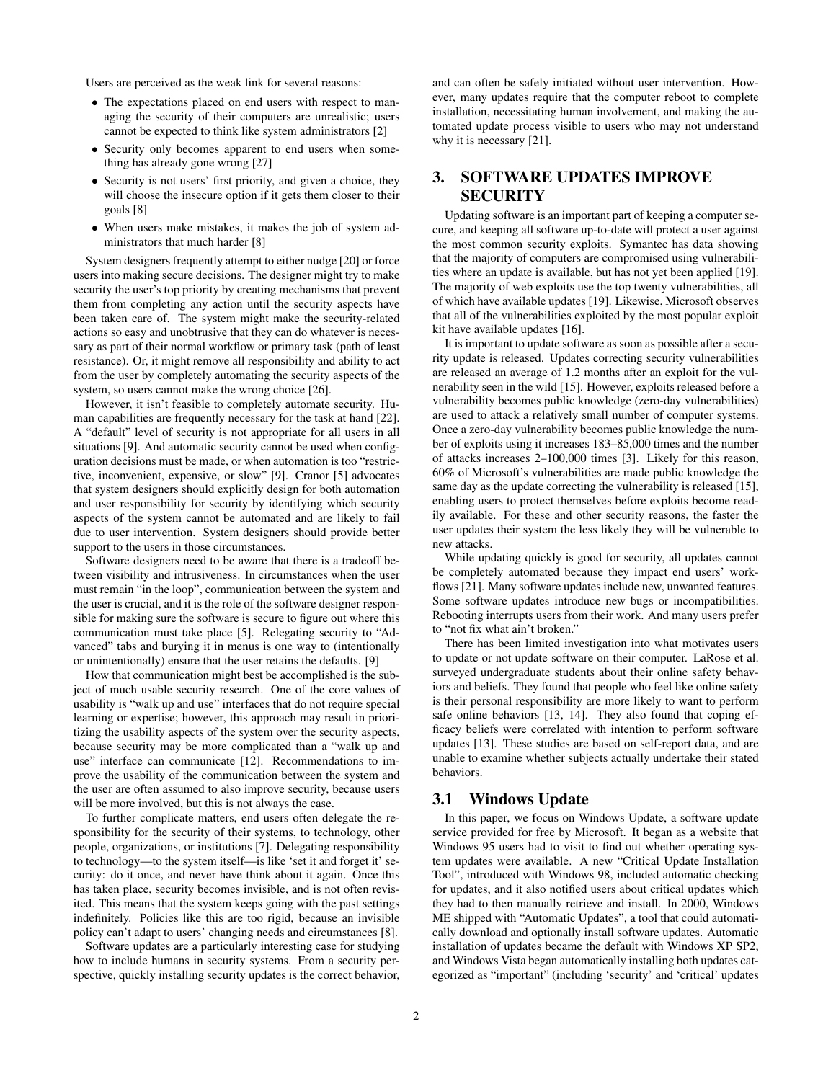Users are perceived as the weak link for several reasons:

- The expectations placed on end users with respect to managing the security of their computers are unrealistic; users cannot be expected to think like system administrators [\[2\]](#page-8-4)
- Security only becomes apparent to end users when something has already gone wrong [\[27\]](#page-9-3)
- Security is not users' first priority, and given a choice, they will choose the insecure option if it gets them closer to their goals [\[8\]](#page-8-5)
- When users make mistakes, it makes the job of system administrators that much harder [\[8\]](#page-8-5)

System designers frequently attempt to either nudge [\[20\]](#page-9-4) or force users into making secure decisions. The designer might try to make security the user's top priority by creating mechanisms that prevent them from completing any action until the security aspects have been taken care of. The system might make the security-related actions so easy and unobtrusive that they can do whatever is necessary as part of their normal workflow or primary task (path of least resistance). Or, it might remove all responsibility and ability to act from the user by completely automating the security aspects of the system, so users cannot make the wrong choice [\[26\]](#page-9-5).

However, it isn't feasible to completely automate security. Human capabilities are frequently necessary for the task at hand [\[22\]](#page-9-6). A "default" level of security is not appropriate for all users in all situations [\[9\]](#page-8-6). And automatic security cannot be used when configuration decisions must be made, or when automation is too "restrictive, inconvenient, expensive, or slow" [\[9\]](#page-8-6). Cranor [\[5\]](#page-8-2) advocates that system designers should explicitly design for both automation and user responsibility for security by identifying which security aspects of the system cannot be automated and are likely to fail due to user intervention. System designers should provide better support to the users in those circumstances.

Software designers need to be aware that there is a tradeoff between visibility and intrusiveness. In circumstances when the user must remain "in the loop", communication between the system and the user is crucial, and it is the role of the software designer responsible for making sure the software is secure to figure out where this communication must take place [\[5\]](#page-8-2). Relegating security to "Advanced" tabs and burying it in menus is one way to (intentionally or unintentionally) ensure that the user retains the defaults. [\[9\]](#page-8-6)

How that communication might best be accomplished is the subject of much usable security research. One of the core values of usability is "walk up and use" interfaces that do not require special learning or expertise; however, this approach may result in prioritizing the usability aspects of the system over the security aspects, because security may be more complicated than a "walk up and use" interface can communicate [\[12\]](#page-8-7). Recommendations to improve the usability of the communication between the system and the user are often assumed to also improve security, because users will be more involved, but this is not always the case.

To further complicate matters, end users often delegate the responsibility for the security of their systems, to technology, other people, organizations, or institutions [\[7\]](#page-8-8). Delegating responsibility to technology—to the system itself—is like 'set it and forget it' security: do it once, and never have think about it again. Once this has taken place, security becomes invisible, and is not often revisited. This means that the system keeps going with the past settings indefinitely. Policies like this are too rigid, because an invisible policy can't adapt to users' changing needs and circumstances [\[8\]](#page-8-5).

Software updates are a particularly interesting case for studying how to include humans in security systems. From a security perspective, quickly installing security updates is the correct behavior,

and can often be safely initiated without user intervention. However, many updates require that the computer reboot to complete installation, necessitating human involvement, and making the automated update process visible to users who may not understand why it is necessary [\[21\]](#page-9-7).

# 3. SOFTWARE UPDATES IMPROVE **SECURITY**

Updating software is an important part of keeping a computer secure, and keeping all software up-to-date will protect a user against the most common security exploits. Symantec has data showing that the majority of computers are compromised using vulnerabilities where an update is available, but has not yet been applied [\[19\]](#page-9-1). The majority of web exploits use the top twenty vulnerabilities, all of which have available updates [\[19\]](#page-9-1). Likewise, Microsoft observes that all of the vulnerabilities exploited by the most popular exploit kit have available updates [\[16\]](#page-9-0).

It is important to update software as soon as possible after a security update is released. Updates correcting security vulnerabilities are released an average of 1.2 months after an exploit for the vulnerability seen in the wild [\[15\]](#page-9-8). However, exploits released before a vulnerability becomes public knowledge (zero-day vulnerabilities) are used to attack a relatively small number of computer systems. Once a zero-day vulnerability becomes public knowledge the number of exploits using it increases 183–85,000 times and the number of attacks increases 2–100,000 times [\[3\]](#page-8-9). Likely for this reason, 60% of Microsoft's vulnerabilities are made public knowledge the same day as the update correcting the vulnerability is released [\[15\]](#page-9-8), enabling users to protect themselves before exploits become readily available. For these and other security reasons, the faster the user updates their system the less likely they will be vulnerable to new attacks.

While updating quickly is good for security, all updates cannot be completely automated because they impact end users' workflows [\[21\]](#page-9-7). Many software updates include new, unwanted features. Some software updates introduce new bugs or incompatibilities. Rebooting interrupts users from their work. And many users prefer to "not fix what ain't broken."

There has been limited investigation into what motivates users to update or not update software on their computer. LaRose et al. surveyed undergraduate students about their online safety behaviors and beliefs. They found that people who feel like online safety is their personal responsibility are more likely to want to perform safe online behaviors [\[13,](#page-8-10) [14\]](#page-9-9). They also found that coping efficacy beliefs were correlated with intention to perform software updates [\[13\]](#page-8-10). These studies are based on self-report data, and are unable to examine whether subjects actually undertake their stated behaviors.

### <span id="page-1-0"></span>3.1 Windows Update

In this paper, we focus on Windows Update, a software update service provided for free by Microsoft. It began as a website that Windows 95 users had to visit to find out whether operating system updates were available. A new "Critical Update Installation Tool", introduced with Windows 98, included automatic checking for updates, and it also notified users about critical updates which they had to then manually retrieve and install. In 2000, Windows ME shipped with "Automatic Updates", a tool that could automatically download and optionally install software updates. Automatic installation of updates became the default with Windows XP SP2, and Windows Vista began automatically installing both updates categorized as "important" (including 'security' and 'critical' updates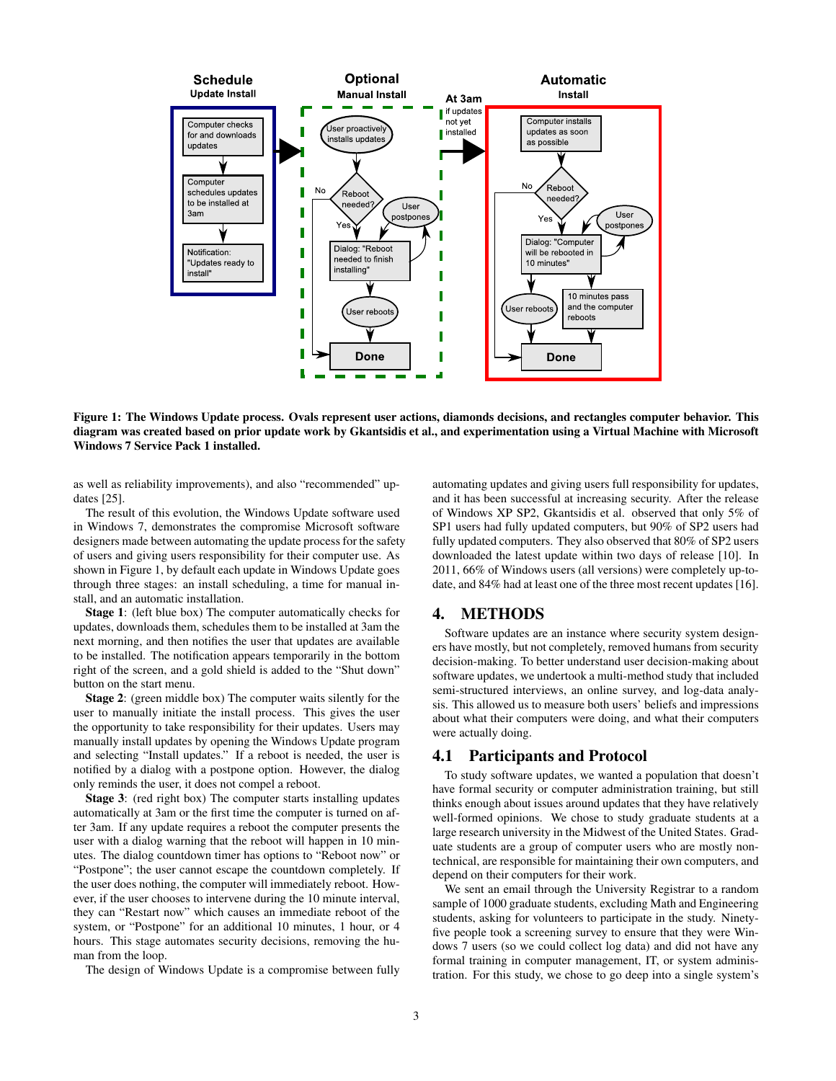

<span id="page-2-0"></span>Figure 1: The Windows Update process. Ovals represent user actions, diamonds decisions, and rectangles computer behavior. This diagram was created based on prior update work by Gkantsidis et al., and experimentation using a Virtual Machine with Microsoft Windows 7 Service Pack 1 installed.

as well as reliability improvements), and also "recommended" updates [\[25\]](#page-9-10).

The result of this evolution, the Windows Update software used in Windows 7, demonstrates the compromise Microsoft software designers made between automating the update process for the safety of users and giving users responsibility for their computer use. As shown in Figure [1,](#page-2-0) by default each update in Windows Update goes through three stages: an install scheduling, a time for manual install, and an automatic installation.

Stage 1: (left blue box) The computer automatically checks for updates, downloads them, schedules them to be installed at 3am the next morning, and then notifies the user that updates are available to be installed. The notification appears temporarily in the bottom right of the screen, and a gold shield is added to the "Shut down" button on the start menu.

Stage 2: (green middle box) The computer waits silently for the user to manually initiate the install process. This gives the user the opportunity to take responsibility for their updates. Users may manually install updates by opening the Windows Update program and selecting "Install updates." If a reboot is needed, the user is notified by a dialog with a postpone option. However, the dialog only reminds the user, it does not compel a reboot.

Stage 3: (red right box) The computer starts installing updates automatically at 3am or the first time the computer is turned on after 3am. If any update requires a reboot the computer presents the user with a dialog warning that the reboot will happen in 10 minutes. The dialog countdown timer has options to "Reboot now" or "Postpone"; the user cannot escape the countdown completely. If the user does nothing, the computer will immediately reboot. However, if the user chooses to intervene during the 10 minute interval, they can "Restart now" which causes an immediate reboot of the system, or "Postpone" for an additional 10 minutes, 1 hour, or 4 hours. This stage automates security decisions, removing the human from the loop.

The design of Windows Update is a compromise between fully

automating updates and giving users full responsibility for updates, and it has been successful at increasing security. After the release of Windows XP SP2, Gkantsidis et al. observed that only 5% of SP1 users had fully updated computers, but 90% of SP2 users had fully updated computers. They also observed that 80% of SP2 users downloaded the latest update within two days of release [\[10\]](#page-8-0). In 2011, 66% of Windows users (all versions) were completely up-todate, and 84% had at least one of the three most recent updates [\[16\]](#page-9-0).

### 4. METHODS

Software updates are an instance where security system designers have mostly, but not completely, removed humans from security decision-making. To better understand user decision-making about software updates, we undertook a multi-method study that included semi-structured interviews, an online survey, and log-data analysis. This allowed us to measure both users' beliefs and impressions about what their computers were doing, and what their computers were actually doing.

# 4.1 Participants and Protocol

To study software updates, we wanted a population that doesn't have formal security or computer administration training, but still thinks enough about issues around updates that they have relatively well-formed opinions. We chose to study graduate students at a large research university in the Midwest of the United States. Graduate students are a group of computer users who are mostly nontechnical, are responsible for maintaining their own computers, and depend on their computers for their work.

We sent an email through the University Registrar to a random sample of 1000 graduate students, excluding Math and Engineering students, asking for volunteers to participate in the study. Ninetyfive people took a screening survey to ensure that they were Windows 7 users (so we could collect log data) and did not have any formal training in computer management, IT, or system administration. For this study, we chose to go deep into a single system's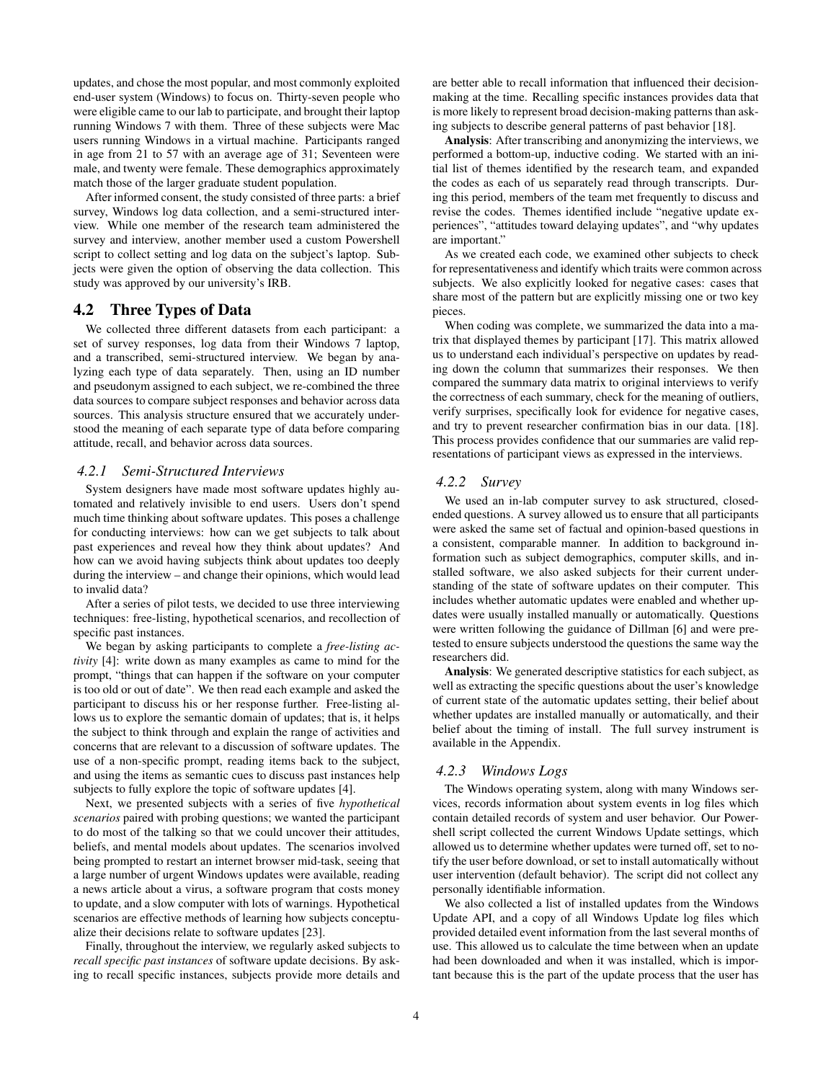updates, and chose the most popular, and most commonly exploited end-user system (Windows) to focus on. Thirty-seven people who were eligible came to our lab to participate, and brought their laptop running Windows 7 with them. Three of these subjects were Mac users running Windows in a virtual machine. Participants ranged in age from 21 to 57 with an average age of 31; Seventeen were male, and twenty were female. These demographics approximately match those of the larger graduate student population.

After informed consent, the study consisted of three parts: a brief survey, Windows log data collection, and a semi-structured interview. While one member of the research team administered the survey and interview, another member used a custom Powershell script to collect setting and log data on the subject's laptop. Subjects were given the option of observing the data collection. This study was approved by our university's IRB.

### 4.2 Three Types of Data

We collected three different datasets from each participant: a set of survey responses, log data from their Windows 7 laptop, and a transcribed, semi-structured interview. We began by analyzing each type of data separately. Then, using an ID number and pseudonym assigned to each subject, we re-combined the three data sources to compare subject responses and behavior across data sources. This analysis structure ensured that we accurately understood the meaning of each separate type of data before comparing attitude, recall, and behavior across data sources.

#### *4.2.1 Semi-Structured Interviews*

System designers have made most software updates highly automated and relatively invisible to end users. Users don't spend much time thinking about software updates. This poses a challenge for conducting interviews: how can we get subjects to talk about past experiences and reveal how they think about updates? And how can we avoid having subjects think about updates too deeply during the interview – and change their opinions, which would lead to invalid data?

After a series of pilot tests, we decided to use three interviewing techniques: free-listing, hypothetical scenarios, and recollection of specific past instances.

We began by asking participants to complete a *free-listing activity* [\[4\]](#page-8-11): write down as many examples as came to mind for the prompt, "things that can happen if the software on your computer is too old or out of date". We then read each example and asked the participant to discuss his or her response further. Free-listing allows us to explore the semantic domain of updates; that is, it helps the subject to think through and explain the range of activities and concerns that are relevant to a discussion of software updates. The use of a non-specific prompt, reading items back to the subject, and using the items as semantic cues to discuss past instances help subjects to fully explore the topic of software updates [\[4\]](#page-8-11).

Next, we presented subjects with a series of five *hypothetical scenarios* paired with probing questions; we wanted the participant to do most of the talking so that we could uncover their attitudes, beliefs, and mental models about updates. The scenarios involved being prompted to restart an internet browser mid-task, seeing that a large number of urgent Windows updates were available, reading a news article about a virus, a software program that costs money to update, and a slow computer with lots of warnings. Hypothetical scenarios are effective methods of learning how subjects conceptualize their decisions relate to software updates [\[23\]](#page-9-11).

Finally, throughout the interview, we regularly asked subjects to *recall specific past instances* of software update decisions. By asking to recall specific instances, subjects provide more details and are better able to recall information that influenced their decisionmaking at the time. Recalling specific instances provides data that is more likely to represent broad decision-making patterns than asking subjects to describe general patterns of past behavior [\[18\]](#page-9-12).

Analysis: After transcribing and anonymizing the interviews, we performed a bottom-up, inductive coding. We started with an initial list of themes identified by the research team, and expanded the codes as each of us separately read through transcripts. During this period, members of the team met frequently to discuss and revise the codes. Themes identified include "negative update experiences", "attitudes toward delaying updates", and "why updates are important."

As we created each code, we examined other subjects to check for representativeness and identify which traits were common across subjects. We also explicitly looked for negative cases: cases that share most of the pattern but are explicitly missing one or two key pieces.

When coding was complete, we summarized the data into a matrix that displayed themes by participant [\[17\]](#page-9-13). This matrix allowed us to understand each individual's perspective on updates by reading down the column that summarizes their responses. We then compared the summary data matrix to original interviews to verify the correctness of each summary, check for the meaning of outliers, verify surprises, specifically look for evidence for negative cases, and try to prevent researcher confirmation bias in our data. [\[18\]](#page-9-12). This process provides confidence that our summaries are valid representations of participant views as expressed in the interviews.

#### *4.2.2 Survey*

We used an in-lab computer survey to ask structured, closedended questions. A survey allowed us to ensure that all participants were asked the same set of factual and opinion-based questions in a consistent, comparable manner. In addition to background information such as subject demographics, computer skills, and installed software, we also asked subjects for their current understanding of the state of software updates on their computer. This includes whether automatic updates were enabled and whether updates were usually installed manually or automatically. Questions were written following the guidance of Dillman [\[6\]](#page-8-12) and were pretested to ensure subjects understood the questions the same way the researchers did.

Analysis: We generated descriptive statistics for each subject, as well as extracting the specific questions about the user's knowledge of current state of the automatic updates setting, their belief about whether updates are installed manually or automatically, and their belief about the timing of install. The full survey instrument is available in the Appendix.

#### *4.2.3 Windows Logs*

The Windows operating system, along with many Windows services, records information about system events in log files which contain detailed records of system and user behavior. Our Powershell script collected the current Windows Update settings, which allowed us to determine whether updates were turned off, set to notify the user before download, or set to install automatically without user intervention (default behavior). The script did not collect any personally identifiable information.

We also collected a list of installed updates from the Windows Update API, and a copy of all Windows Update log files which provided detailed event information from the last several months of use. This allowed us to calculate the time between when an update had been downloaded and when it was installed, which is important because this is the part of the update process that the user has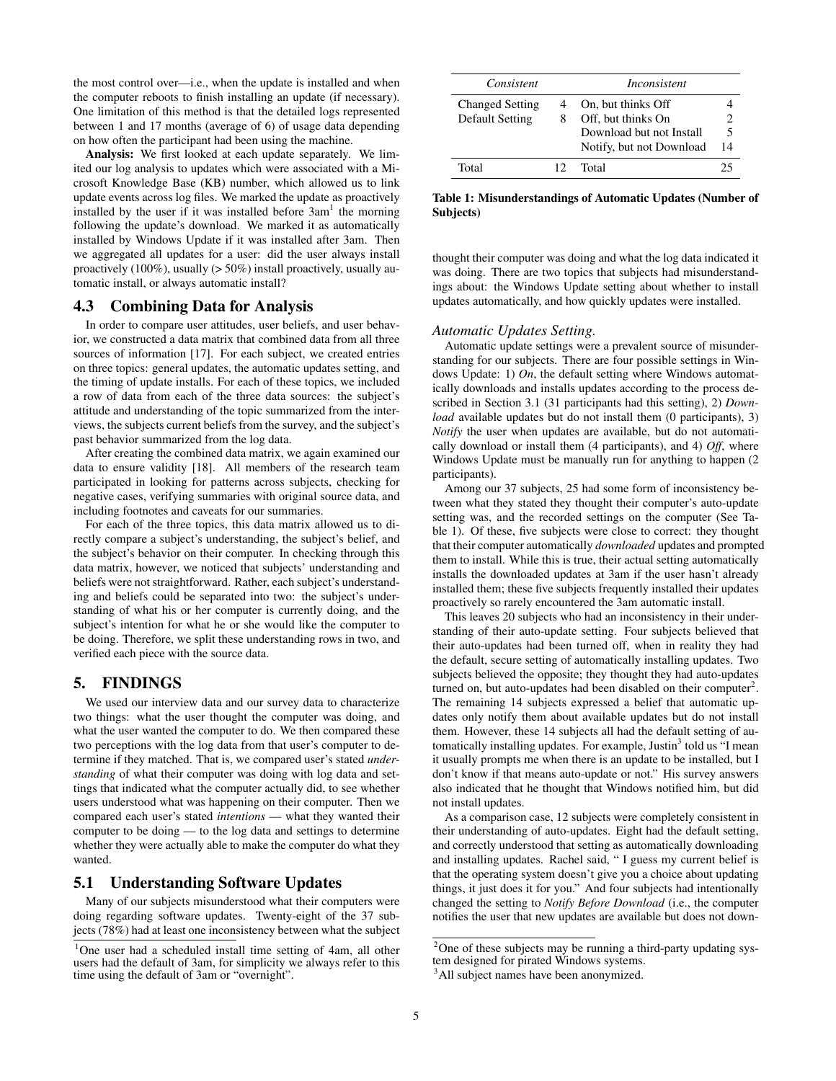the most control over—i.e., when the update is installed and when the computer reboots to finish installing an update (if necessary). One limitation of this method is that the detailed logs represented between 1 and 17 months (average of 6) of usage data depending on how often the participant had been using the machine.

Analysis: We first looked at each update separately. We limited our log analysis to updates which were associated with a Microsoft Knowledge Base (KB) number, which allowed us to link update events across log files. We marked the update as proactively installed by the user if it was installed before  $3am<sup>1</sup>$  $3am<sup>1</sup>$  $3am<sup>1</sup>$  the morning following the update's download. We marked it as automatically installed by Windows Update if it was installed after 3am. Then we aggregated all updates for a user: did the user always install proactively (100%), usually (> 50%) install proactively, usually automatic install, or always automatic install?

### 4.3 Combining Data for Analysis

In order to compare user attitudes, user beliefs, and user behavior, we constructed a data matrix that combined data from all three sources of information [\[17\]](#page-9-13). For each subject, we created entries on three topics: general updates, the automatic updates setting, and the timing of update installs. For each of these topics, we included a row of data from each of the three data sources: the subject's attitude and understanding of the topic summarized from the interviews, the subjects current beliefs from the survey, and the subject's past behavior summarized from the log data.

After creating the combined data matrix, we again examined our data to ensure validity [\[18\]](#page-9-12). All members of the research team participated in looking for patterns across subjects, checking for negative cases, verifying summaries with original source data, and including footnotes and caveats for our summaries.

For each of the three topics, this data matrix allowed us to directly compare a subject's understanding, the subject's belief, and the subject's behavior on their computer. In checking through this data matrix, however, we noticed that subjects' understanding and beliefs were not straightforward. Rather, each subject's understanding and beliefs could be separated into two: the subject's understanding of what his or her computer is currently doing, and the subject's intention for what he or she would like the computer to be doing. Therefore, we split these understanding rows in two, and verified each piece with the source data.

### 5. FINDINGS

We used our interview data and our survey data to characterize two things: what the user thought the computer was doing, and what the user wanted the computer to do. We then compared these two perceptions with the log data from that user's computer to determine if they matched. That is, we compared user's stated *understanding* of what their computer was doing with log data and settings that indicated what the computer actually did, to see whether users understood what was happening on their computer. Then we compared each user's stated *intentions* — what they wanted their computer to be doing — to the log data and settings to determine whether they were actually able to make the computer do what they wanted.

## 5.1 Understanding Software Updates

Many of our subjects misunderstood what their computers were doing regarding software updates. Twenty-eight of the 37 subjects (78%) had at least one inconsistency between what the subject

| Consistent             |     | Inconsistent             |    |
|------------------------|-----|--------------------------|----|
| <b>Changed Setting</b> |     | On, but thinks Off       |    |
| <b>Default Setting</b> | 8   | Off, but thinks On       |    |
|                        |     | Download but not Install | 5  |
|                        |     | Notify, but not Download | 14 |
| Total                  | 12. | Total                    | 25 |

<span id="page-4-1"></span>Table 1: Misunderstandings of Automatic Updates (Number of Subjects)

thought their computer was doing and what the log data indicated it was doing. There are two topics that subjects had misunderstandings about: the Windows Update setting about whether to install updates automatically, and how quickly updates were installed.

#### *Automatic Updates Setting.*

Automatic update settings were a prevalent source of misunderstanding for our subjects. There are four possible settings in Windows Update: 1) *On*, the default setting where Windows automatically downloads and installs updates according to the process described in Section [3.1](#page-1-0) (31 participants had this setting), 2) *Download* available updates but do not install them (0 participants), 3) *Notify* the user when updates are available, but do not automatically download or install them (4 participants), and 4) *Off*, where Windows Update must be manually run for anything to happen (2 participants).

Among our 37 subjects, 25 had some form of inconsistency between what they stated they thought their computer's auto-update setting was, and the recorded settings on the computer (See Table [1\)](#page-4-1). Of these, five subjects were close to correct: they thought that their computer automatically *downloaded* updates and prompted them to install. While this is true, their actual setting automatically installs the downloaded updates at 3am if the user hasn't already installed them; these five subjects frequently installed their updates proactively so rarely encountered the 3am automatic install.

This leaves 20 subjects who had an inconsistency in their understanding of their auto-update setting. Four subjects believed that their auto-updates had been turned off, when in reality they had the default, secure setting of automatically installing updates. Two subjects believed the opposite; they thought they had auto-updates turned on, but auto-updates had been disabled on their computer<sup>[2](#page-4-2)</sup>. The remaining 14 subjects expressed a belief that automatic updates only notify them about available updates but do not install them. However, these 14 subjects all had the default setting of au-tomatically installing updates. For example, Justin<sup>[3](#page-4-3)</sup> told us "I mean it usually prompts me when there is an update to be installed, but I don't know if that means auto-update or not." His survey answers also indicated that he thought that Windows notified him, but did not install updates.

As a comparison case, 12 subjects were completely consistent in their understanding of auto-updates. Eight had the default setting, and correctly understood that setting as automatically downloading and installing updates. Rachel said, " I guess my current belief is that the operating system doesn't give you a choice about updating things, it just does it for you." And four subjects had intentionally changed the setting to *Notify Before Download* (i.e., the computer notifies the user that new updates are available but does not down-

<span id="page-4-0"></span><sup>&</sup>lt;sup>1</sup>One user had a scheduled install time setting of 4am, all other users had the default of 3am, for simplicity we always refer to this time using the default of 3am or "overnight".

<span id="page-4-2"></span> $2$ One of these subjects may be running a third-party updating system designed for pirated Windows systems.

<span id="page-4-3"></span><sup>&</sup>lt;sup>3</sup>All subject names have been anonymized.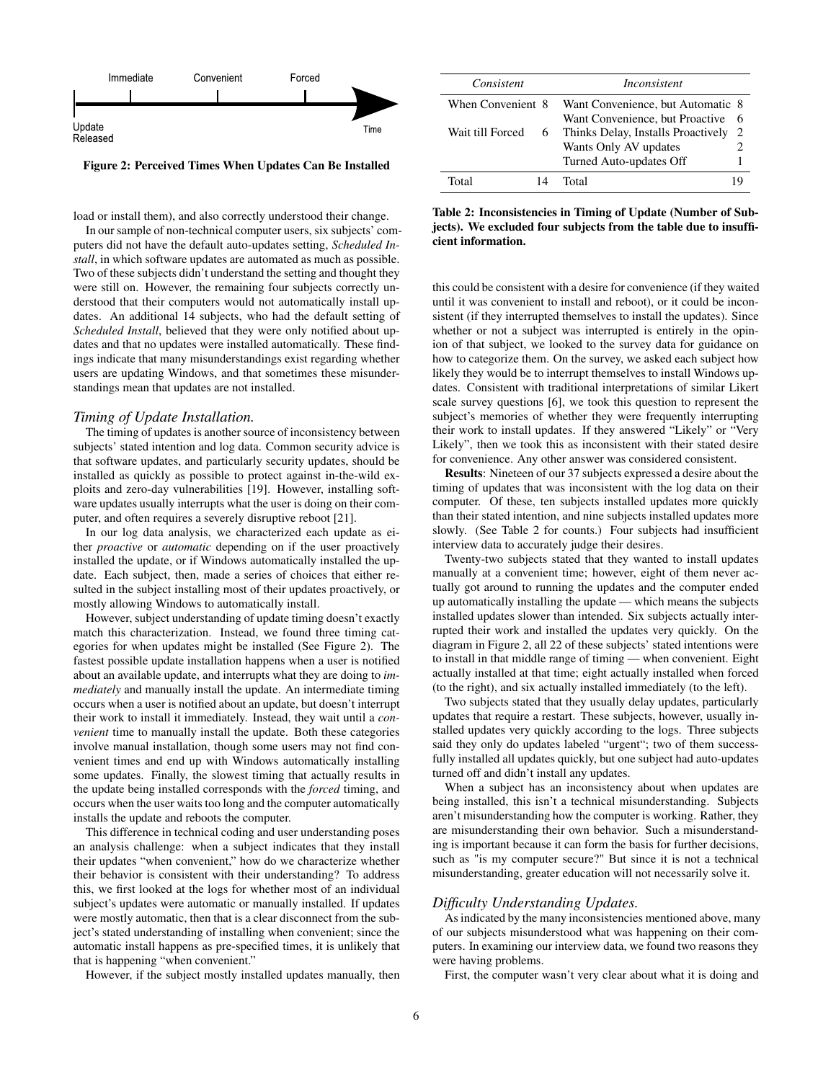

<span id="page-5-0"></span>Figure 2: Perceived Times When Updates Can Be Installed

load or install them), and also correctly understood their change.

In our sample of non-technical computer users, six subjects' computers did not have the default auto-updates setting, *Scheduled Install*, in which software updates are automated as much as possible. Two of these subjects didn't understand the setting and thought they were still on. However, the remaining four subjects correctly understood that their computers would not automatically install updates. An additional 14 subjects, who had the default setting of *Scheduled Install*, believed that they were only notified about updates and that no updates were installed automatically. These findings indicate that many misunderstandings exist regarding whether users are updating Windows, and that sometimes these misunderstandings mean that updates are not installed.

#### *Timing of Update Installation.*

The timing of updates is another source of inconsistency between subjects' stated intention and log data. Common security advice is that software updates, and particularly security updates, should be installed as quickly as possible to protect against in-the-wild exploits and zero-day vulnerabilities [\[19\]](#page-9-1). However, installing software updates usually interrupts what the user is doing on their computer, and often requires a severely disruptive reboot [\[21\]](#page-9-7).

In our log data analysis, we characterized each update as either *proactive* or *automatic* depending on if the user proactively installed the update, or if Windows automatically installed the update. Each subject, then, made a series of choices that either resulted in the subject installing most of their updates proactively, or mostly allowing Windows to automatically install.

However, subject understanding of update timing doesn't exactly match this characterization. Instead, we found three timing categories for when updates might be installed (See Figure [2\)](#page-5-0). The fastest possible update installation happens when a user is notified about an available update, and interrupts what they are doing to *immediately* and manually install the update. An intermediate timing occurs when a user is notified about an update, but doesn't interrupt their work to install it immediately. Instead, they wait until a *convenient* time to manually install the update. Both these categories involve manual installation, though some users may not find convenient times and end up with Windows automatically installing some updates. Finally, the slowest timing that actually results in the update being installed corresponds with the *forced* timing, and occurs when the user waits too long and the computer automatically installs the update and reboots the computer.

This difference in technical coding and user understanding poses an analysis challenge: when a subject indicates that they install their updates "when convenient," how do we characterize whether their behavior is consistent with their understanding? To address this, we first looked at the logs for whether most of an individual subject's updates were automatic or manually installed. If updates were mostly automatic, then that is a clear disconnect from the subject's stated understanding of installing when convenient; since the automatic install happens as pre-specified times, it is unlikely that that is happening "when convenient."

However, if the subject mostly installed updates manually, then

| Consistent            | <i>Inconsistent</i>                                                        |
|-----------------------|----------------------------------------------------------------------------|
| When Convenient 8     | Want Convenience, but Automatic 8<br>Want Convenience, but Proactive<br>-6 |
| Wait till Forced<br>6 | Thinks Delay, Installs Proactively<br>2                                    |
|                       | 2<br>Wants Only AV updates<br>Turned Auto-updates Off                      |
| Total<br>14           | Total                                                                      |

<span id="page-5-1"></span>Table 2: Inconsistencies in Timing of Update (Number of Subjects). We excluded four subjects from the table due to insufficient information.

this could be consistent with a desire for convenience (if they waited until it was convenient to install and reboot), or it could be inconsistent (if they interrupted themselves to install the updates). Since whether or not a subject was interrupted is entirely in the opinion of that subject, we looked to the survey data for guidance on how to categorize them. On the survey, we asked each subject how likely they would be to interrupt themselves to install Windows updates. Consistent with traditional interpretations of similar Likert scale survey questions [\[6\]](#page-8-12), we took this question to represent the subject's memories of whether they were frequently interrupting their work to install updates. If they answered "Likely" or "Very Likely", then we took this as inconsistent with their stated desire for convenience. Any other answer was considered consistent.

Results: Nineteen of our 37 subjects expressed a desire about the timing of updates that was inconsistent with the log data on their computer. Of these, ten subjects installed updates more quickly than their stated intention, and nine subjects installed updates more slowly. (See Table [2](#page-5-1) for counts.) Four subjects had insufficient interview data to accurately judge their desires.

Twenty-two subjects stated that they wanted to install updates manually at a convenient time; however, eight of them never actually got around to running the updates and the computer ended up automatically installing the update — which means the subjects installed updates slower than intended. Six subjects actually interrupted their work and installed the updates very quickly. On the diagram in Figure [2,](#page-5-0) all 22 of these subjects' stated intentions were to install in that middle range of timing — when convenient. Eight actually installed at that time; eight actually installed when forced (to the right), and six actually installed immediately (to the left).

Two subjects stated that they usually delay updates, particularly updates that require a restart. These subjects, however, usually installed updates very quickly according to the logs. Three subjects said they only do updates labeled "urgent"; two of them successfully installed all updates quickly, but one subject had auto-updates turned off and didn't install any updates.

When a subject has an inconsistency about when updates are being installed, this isn't a technical misunderstanding. Subjects aren't misunderstanding how the computer is working. Rather, they are misunderstanding their own behavior. Such a misunderstanding is important because it can form the basis for further decisions, such as "is my computer secure?" But since it is not a technical misunderstanding, greater education will not necessarily solve it.

#### *Difficulty Understanding Updates.*

As indicated by the many inconsistencies mentioned above, many of our subjects misunderstood what was happening on their computers. In examining our interview data, we found two reasons they were having problems.

First, the computer wasn't very clear about what it is doing and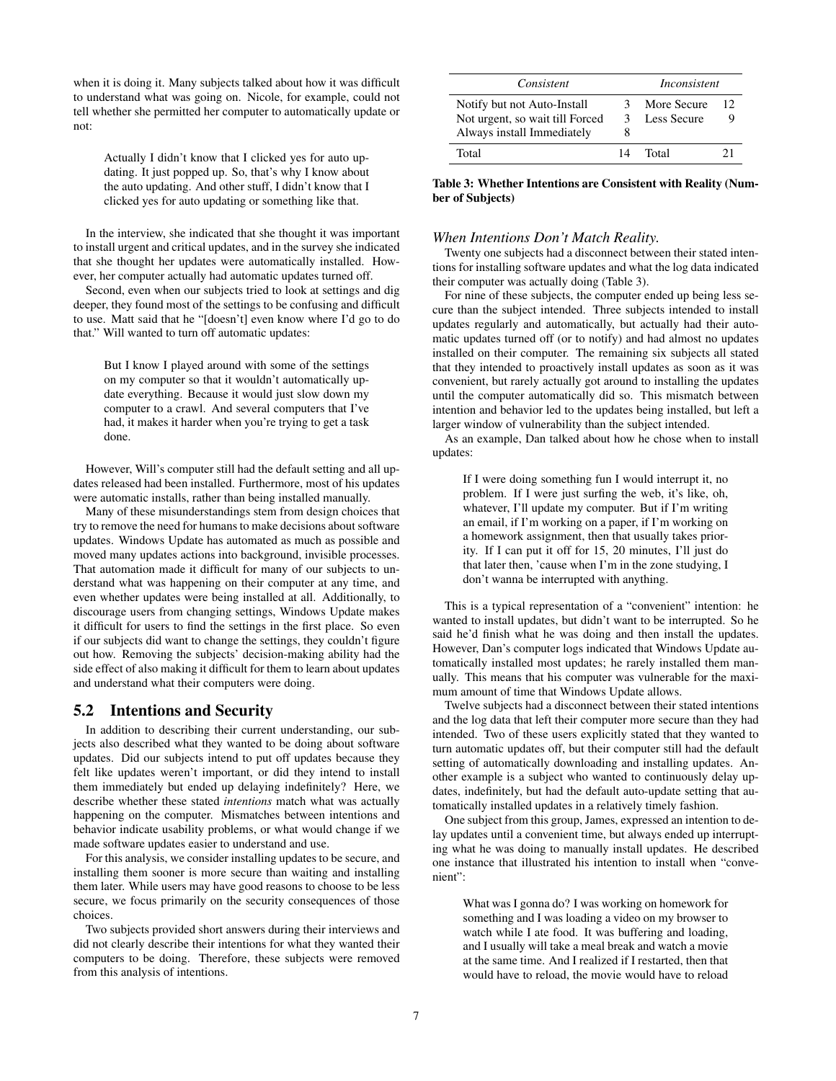when it is doing it. Many subjects talked about how it was difficult to understand what was going on. Nicole, for example, could not tell whether she permitted her computer to automatically update or not:

Actually I didn't know that I clicked yes for auto updating. It just popped up. So, that's why I know about the auto updating. And other stuff, I didn't know that I clicked yes for auto updating or something like that.

In the interview, she indicated that she thought it was important to install urgent and critical updates, and in the survey she indicated that she thought her updates were automatically installed. However, her computer actually had automatic updates turned off.

Second, even when our subjects tried to look at settings and dig deeper, they found most of the settings to be confusing and difficult to use. Matt said that he "[doesn't] even know where I'd go to do that." Will wanted to turn off automatic updates:

But I know I played around with some of the settings on my computer so that it wouldn't automatically update everything. Because it would just slow down my computer to a crawl. And several computers that I've had, it makes it harder when you're trying to get a task done.

However, Will's computer still had the default setting and all updates released had been installed. Furthermore, most of his updates were automatic installs, rather than being installed manually.

Many of these misunderstandings stem from design choices that try to remove the need for humans to make decisions about software updates. Windows Update has automated as much as possible and moved many updates actions into background, invisible processes. That automation made it difficult for many of our subjects to understand what was happening on their computer at any time, and even whether updates were being installed at all. Additionally, to discourage users from changing settings, Windows Update makes it difficult for users to find the settings in the first place. So even if our subjects did want to change the settings, they couldn't figure out how. Removing the subjects' decision-making ability had the side effect of also making it difficult for them to learn about updates and understand what their computers were doing.

#### 5.2 Intentions and Security

In addition to describing their current understanding, our subjects also described what they wanted to be doing about software updates. Did our subjects intend to put off updates because they felt like updates weren't important, or did they intend to install them immediately but ended up delaying indefinitely? Here, we describe whether these stated *intentions* match what was actually happening on the computer. Mismatches between intentions and behavior indicate usability problems, or what would change if we made software updates easier to understand and use.

For this analysis, we consider installing updates to be secure, and installing them sooner is more secure than waiting and installing them later. While users may have good reasons to choose to be less secure, we focus primarily on the security consequences of those choices.

Two subjects provided short answers during their interviews and did not clearly describe their intentions for what they wanted their computers to be doing. Therefore, these subjects were removed from this analysis of intentions.

| Consistent                      |    | Inconsistent |    |  |  |
|---------------------------------|----|--------------|----|--|--|
| Notify but not Auto-Install     | 3  | More Secure  | 12 |  |  |
| Not urgent, so wait till Forced |    | Less Secure  |    |  |  |
| Always install Immediately      | 8  |              |    |  |  |
| Total                           | 14 | Total        | 21 |  |  |

<span id="page-6-0"></span>Table 3: Whether Intentions are Consistent with Reality (Number of Subjects)

#### *When Intentions Don't Match Reality.*

Twenty one subjects had a disconnect between their stated intentions for installing software updates and what the log data indicated their computer was actually doing (Table [3\)](#page-6-0).

For nine of these subjects, the computer ended up being less secure than the subject intended. Three subjects intended to install updates regularly and automatically, but actually had their automatic updates turned off (or to notify) and had almost no updates installed on their computer. The remaining six subjects all stated that they intended to proactively install updates as soon as it was convenient, but rarely actually got around to installing the updates until the computer automatically did so. This mismatch between intention and behavior led to the updates being installed, but left a larger window of vulnerability than the subject intended.

As an example, Dan talked about how he chose when to install updates:

If I were doing something fun I would interrupt it, no problem. If I were just surfing the web, it's like, oh, whatever, I'll update my computer. But if I'm writing an email, if I'm working on a paper, if I'm working on a homework assignment, then that usually takes priority. If I can put it off for 15, 20 minutes, I'll just do that later then, 'cause when I'm in the zone studying, I don't wanna be interrupted with anything.

This is a typical representation of a "convenient" intention: he wanted to install updates, but didn't want to be interrupted. So he said he'd finish what he was doing and then install the updates. However, Dan's computer logs indicated that Windows Update automatically installed most updates; he rarely installed them manually. This means that his computer was vulnerable for the maximum amount of time that Windows Update allows.

Twelve subjects had a disconnect between their stated intentions and the log data that left their computer more secure than they had intended. Two of these users explicitly stated that they wanted to turn automatic updates off, but their computer still had the default setting of automatically downloading and installing updates. Another example is a subject who wanted to continuously delay updates, indefinitely, but had the default auto-update setting that automatically installed updates in a relatively timely fashion.

One subject from this group, James, expressed an intention to delay updates until a convenient time, but always ended up interrupting what he was doing to manually install updates. He described one instance that illustrated his intention to install when "convenient":

What was I gonna do? I was working on homework for something and I was loading a video on my browser to watch while I ate food. It was buffering and loading, and I usually will take a meal break and watch a movie at the same time. And I realized if I restarted, then that would have to reload, the movie would have to reload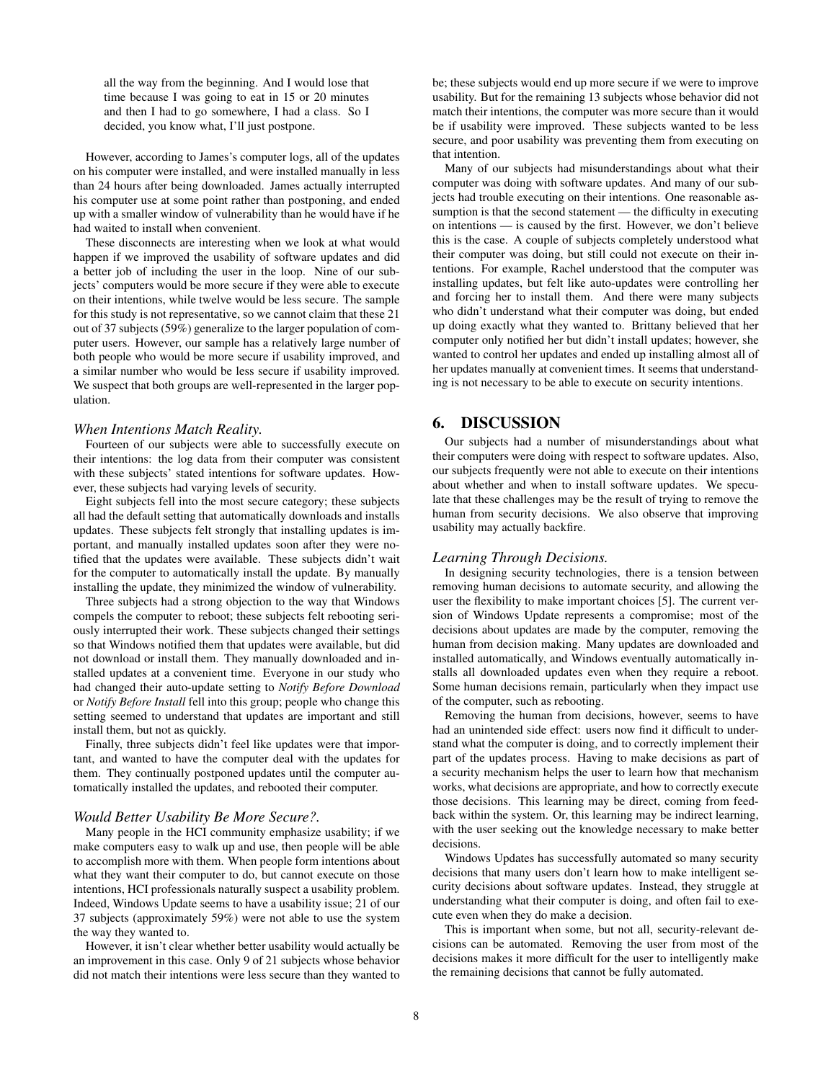all the way from the beginning. And I would lose that time because I was going to eat in 15 or 20 minutes and then I had to go somewhere, I had a class. So I decided, you know what, I'll just postpone.

However, according to James's computer logs, all of the updates on his computer were installed, and were installed manually in less than 24 hours after being downloaded. James actually interrupted his computer use at some point rather than postponing, and ended up with a smaller window of vulnerability than he would have if he had waited to install when convenient.

These disconnects are interesting when we look at what would happen if we improved the usability of software updates and did a better job of including the user in the loop. Nine of our subjects' computers would be more secure if they were able to execute on their intentions, while twelve would be less secure. The sample for this study is not representative, so we cannot claim that these 21 out of 37 subjects (59%) generalize to the larger population of computer users. However, our sample has a relatively large number of both people who would be more secure if usability improved, and a similar number who would be less secure if usability improved. We suspect that both groups are well-represented in the larger population.

#### *When Intentions Match Reality.*

Fourteen of our subjects were able to successfully execute on their intentions: the log data from their computer was consistent with these subjects' stated intentions for software updates. However, these subjects had varying levels of security.

Eight subjects fell into the most secure category; these subjects all had the default setting that automatically downloads and installs updates. These subjects felt strongly that installing updates is important, and manually installed updates soon after they were notified that the updates were available. These subjects didn't wait for the computer to automatically install the update. By manually installing the update, they minimized the window of vulnerability.

Three subjects had a strong objection to the way that Windows compels the computer to reboot; these subjects felt rebooting seriously interrupted their work. These subjects changed their settings so that Windows notified them that updates were available, but did not download or install them. They manually downloaded and installed updates at a convenient time. Everyone in our study who had changed their auto-update setting to *Notify Before Download* or *Notify Before Install* fell into this group; people who change this setting seemed to understand that updates are important and still install them, but not as quickly.

Finally, three subjects didn't feel like updates were that important, and wanted to have the computer deal with the updates for them. They continually postponed updates until the computer automatically installed the updates, and rebooted their computer.

#### *Would Better Usability Be More Secure?.*

Many people in the HCI community emphasize usability; if we make computers easy to walk up and use, then people will be able to accomplish more with them. When people form intentions about what they want their computer to do, but cannot execute on those intentions, HCI professionals naturally suspect a usability problem. Indeed, Windows Update seems to have a usability issue; 21 of our 37 subjects (approximately 59%) were not able to use the system the way they wanted to.

However, it isn't clear whether better usability would actually be an improvement in this case. Only 9 of 21 subjects whose behavior did not match their intentions were less secure than they wanted to be; these subjects would end up more secure if we were to improve usability. But for the remaining 13 subjects whose behavior did not match their intentions, the computer was more secure than it would be if usability were improved. These subjects wanted to be less secure, and poor usability was preventing them from executing on that intention.

Many of our subjects had misunderstandings about what their computer was doing with software updates. And many of our subjects had trouble executing on their intentions. One reasonable assumption is that the second statement — the difficulty in executing on intentions — is caused by the first. However, we don't believe this is the case. A couple of subjects completely understood what their computer was doing, but still could not execute on their intentions. For example, Rachel understood that the computer was installing updates, but felt like auto-updates were controlling her and forcing her to install them. And there were many subjects who didn't understand what their computer was doing, but ended up doing exactly what they wanted to. Brittany believed that her computer only notified her but didn't install updates; however, she wanted to control her updates and ended up installing almost all of her updates manually at convenient times. It seems that understanding is not necessary to be able to execute on security intentions.

# 6. DISCUSSION

Our subjects had a number of misunderstandings about what their computers were doing with respect to software updates. Also, our subjects frequently were not able to execute on their intentions about whether and when to install software updates. We speculate that these challenges may be the result of trying to remove the human from security decisions. We also observe that improving usability may actually backfire.

#### *Learning Through Decisions.*

In designing security technologies, there is a tension between removing human decisions to automate security, and allowing the user the flexibility to make important choices [\[5\]](#page-8-2). The current version of Windows Update represents a compromise; most of the decisions about updates are made by the computer, removing the human from decision making. Many updates are downloaded and installed automatically, and Windows eventually automatically installs all downloaded updates even when they require a reboot. Some human decisions remain, particularly when they impact use of the computer, such as rebooting.

Removing the human from decisions, however, seems to have had an unintended side effect: users now find it difficult to understand what the computer is doing, and to correctly implement their part of the updates process. Having to make decisions as part of a security mechanism helps the user to learn how that mechanism works, what decisions are appropriate, and how to correctly execute those decisions. This learning may be direct, coming from feedback within the system. Or, this learning may be indirect learning, with the user seeking out the knowledge necessary to make better decisions.

Windows Updates has successfully automated so many security decisions that many users don't learn how to make intelligent security decisions about software updates. Instead, they struggle at understanding what their computer is doing, and often fail to execute even when they do make a decision.

This is important when some, but not all, security-relevant decisions can be automated. Removing the user from most of the decisions makes it more difficult for the user to intelligently make the remaining decisions that cannot be fully automated.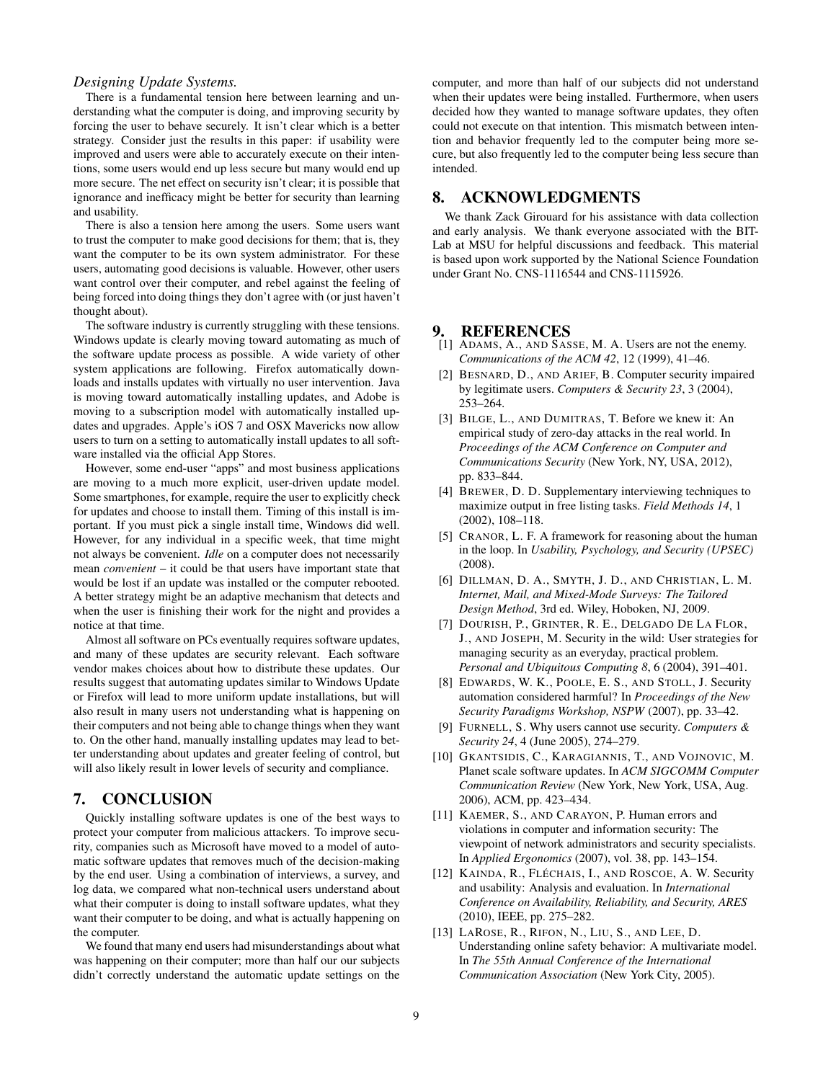#### *Designing Update Systems.*

There is a fundamental tension here between learning and understanding what the computer is doing, and improving security by forcing the user to behave securely. It isn't clear which is a better strategy. Consider just the results in this paper: if usability were improved and users were able to accurately execute on their intentions, some users would end up less secure but many would end up more secure. The net effect on security isn't clear; it is possible that ignorance and inefficacy might be better for security than learning and usability.

There is also a tension here among the users. Some users want to trust the computer to make good decisions for them; that is, they want the computer to be its own system administrator. For these users, automating good decisions is valuable. However, other users want control over their computer, and rebel against the feeling of being forced into doing things they don't agree with (or just haven't thought about).

The software industry is currently struggling with these tensions. Windows update is clearly moving toward automating as much of the software update process as possible. A wide variety of other system applications are following. Firefox automatically downloads and installs updates with virtually no user intervention. Java is moving toward automatically installing updates, and Adobe is moving to a subscription model with automatically installed updates and upgrades. Apple's iOS 7 and OSX Mavericks now allow users to turn on a setting to automatically install updates to all software installed via the official App Stores.

However, some end-user "apps" and most business applications are moving to a much more explicit, user-driven update model. Some smartphones, for example, require the user to explicitly check for updates and choose to install them. Timing of this install is important. If you must pick a single install time, Windows did well. However, for any individual in a specific week, that time might not always be convenient. *Idle* on a computer does not necessarily mean *convenient* – it could be that users have important state that would be lost if an update was installed or the computer rebooted. A better strategy might be an adaptive mechanism that detects and when the user is finishing their work for the night and provides a notice at that time.

Almost all software on PCs eventually requires software updates, and many of these updates are security relevant. Each software vendor makes choices about how to distribute these updates. Our results suggest that automating updates similar to Windows Update or Firefox will lead to more uniform update installations, but will also result in many users not understanding what is happening on their computers and not being able to change things when they want to. On the other hand, manually installing updates may lead to better understanding about updates and greater feeling of control, but will also likely result in lower levels of security and compliance.

### 7. CONCLUSION

Quickly installing software updates is one of the best ways to protect your computer from malicious attackers. To improve security, companies such as Microsoft have moved to a model of automatic software updates that removes much of the decision-making by the end user. Using a combination of interviews, a survey, and log data, we compared what non-technical users understand about what their computer is doing to install software updates, what they want their computer to be doing, and what is actually happening on the computer.

We found that many end users had misunderstandings about what was happening on their computer; more than half our our subjects didn't correctly understand the automatic update settings on the computer, and more than half of our subjects did not understand when their updates were being installed. Furthermore, when users decided how they wanted to manage software updates, they often could not execute on that intention. This mismatch between intention and behavior frequently led to the computer being more secure, but also frequently led to the computer being less secure than intended.

# 8. ACKNOWLEDGMENTS

We thank Zack Girouard for his assistance with data collection and early analysis. We thank everyone associated with the BIT-Lab at MSU for helpful discussions and feedback. This material is based upon work supported by the National Science Foundation under Grant No. CNS-1116544 and CNS-1115926.

### 9. REFERENCES

- <span id="page-8-1"></span>[1] ADAMS, A., AND SASSE, M. A. Users are not the enemy. *Communications of the ACM 42*, 12 (1999), 41–46.
- <span id="page-8-4"></span>[2] BESNARD, D., AND ARIEF, B. Computer security impaired by legitimate users. *Computers & Security 23*, 3 (2004), 253–264.
- <span id="page-8-9"></span>[3] BILGE, L., AND DUMITRAS, T. Before we knew it: An empirical study of zero-day attacks in the real world. In *Proceedings of the ACM Conference on Computer and Communications Security* (New York, NY, USA, 2012), pp. 833–844.
- <span id="page-8-11"></span>[4] BREWER, D. D. Supplementary interviewing techniques to maximize output in free listing tasks. *Field Methods 14*, 1 (2002), 108–118.
- <span id="page-8-2"></span>[5] CRANOR, L. F. A framework for reasoning about the human in the loop. In *Usability, Psychology, and Security (UPSEC)* (2008).
- <span id="page-8-12"></span>[6] DILLMAN, D. A., SMYTH, J. D., AND CHRISTIAN, L. M. *Internet, Mail, and Mixed-Mode Surveys: The Tailored Design Method*, 3rd ed. Wiley, Hoboken, NJ, 2009.
- <span id="page-8-8"></span>[7] DOURISH, P., GRINTER, R. E., DELGADO DE LA FLOR, J., AND JOSEPH, M. Security in the wild: User strategies for managing security as an everyday, practical problem. *Personal and Ubiquitous Computing 8*, 6 (2004), 391–401.
- <span id="page-8-5"></span>[8] EDWARDS, W. K., POOLE, E. S., AND STOLL, J. Security automation considered harmful? In *Proceedings of the New Security Paradigms Workshop, NSPW* (2007), pp. 33–42.
- <span id="page-8-6"></span>[9] FURNELL, S. Why users cannot use security. *Computers & Security 24*, 4 (June 2005), 274–279.
- <span id="page-8-0"></span>[10] GKANTSIDIS, C., KARAGIANNIS, T., AND VOJNOVIC, M. Planet scale software updates. In *ACM SIGCOMM Computer Communication Review* (New York, New York, USA, Aug. 2006), ACM, pp. 423–434.
- <span id="page-8-3"></span>[11] KAEMER, S., AND CARAYON, P. Human errors and violations in computer and information security: The viewpoint of network administrators and security specialists. In *Applied Ergonomics* (2007), vol. 38, pp. 143–154.
- <span id="page-8-7"></span>[12] KAINDA, R., FLÉCHAIS, I., AND ROSCOE, A. W. Security and usability: Analysis and evaluation. In *International Conference on Availability, Reliability, and Security, ARES* (2010), IEEE, pp. 275–282.
- <span id="page-8-10"></span>[13] LAROSE, R., RIFON, N., LIU, S., AND LEE, D. Understanding online safety behavior: A multivariate model. In *The 55th Annual Conference of the International Communication Association* (New York City, 2005).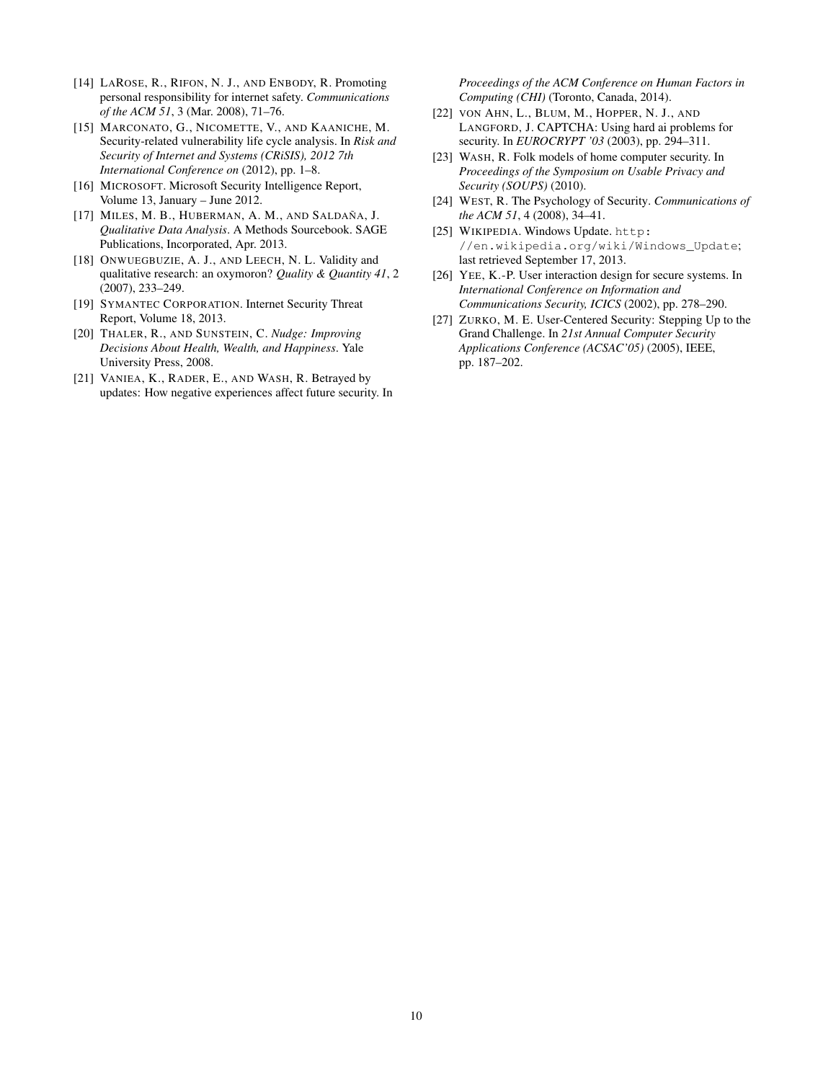- <span id="page-9-9"></span>[14] LAROSE, R., RIFON, N. J., AND ENBODY, R. Promoting personal responsibility for internet safety. *Communications of the ACM 51*, 3 (Mar. 2008), 71–76.
- <span id="page-9-8"></span>[15] MARCONATO, G., NICOMETTE, V., AND KAANICHE, M. Security-related vulnerability life cycle analysis. In *Risk and Security of Internet and Systems (CRiSIS), 2012 7th International Conference on* (2012), pp. 1–8.
- <span id="page-9-0"></span>[16] MICROSOFT. Microsoft Security Intelligence Report, Volume 13, January – June 2012.
- <span id="page-9-13"></span>[17] MILES, M. B., HUBERMAN, A. M., AND SALDAÑA, J. *Qualitative Data Analysis*. A Methods Sourcebook. SAGE Publications, Incorporated, Apr. 2013.
- <span id="page-9-12"></span>[18] ONWUEGBUZIE, A. J., AND LEECH, N. L. Validity and qualitative research: an oxymoron? *Quality & Quantity 41*, 2 (2007), 233–249.
- <span id="page-9-1"></span>[19] SYMANTEC CORPORATION. Internet Security Threat Report, Volume 18, 2013.
- <span id="page-9-4"></span>[20] THALER, R., AND SUNSTEIN, C. *Nudge: Improving Decisions About Health, Wealth, and Happiness*. Yale University Press, 2008.
- <span id="page-9-7"></span>[21] VANIEA, K., RADER, E., AND WASH, R. Betrayed by updates: How negative experiences affect future security. In

*Proceedings of the ACM Conference on Human Factors in Computing (CHI)* (Toronto, Canada, 2014).

- <span id="page-9-6"></span>[22] VON AHN, L., BLUM, M., HOPPER, N. J., AND LANGFORD, J. CAPTCHA: Using hard ai problems for security. In *EUROCRYPT '03* (2003), pp. 294–311.
- <span id="page-9-11"></span>[23] WASH, R. Folk models of home computer security. In *Proceedings of the Symposium on Usable Privacy and Security (SOUPS)* (2010).
- <span id="page-9-2"></span>[24] WEST, R. The Psychology of Security. *Communications of the ACM 51*, 4 (2008), 34–41.
- <span id="page-9-10"></span>[25] WIKIPEDIA. Windows Update. [http:](http://en.wikipedia.org/wiki/Windows_Update) [//en.wikipedia.org/wiki/Windows\\_Update](http://en.wikipedia.org/wiki/Windows_Update); last retrieved September 17, 2013.
- <span id="page-9-5"></span>[26] YEE, K.-P. User interaction design for secure systems. In *International Conference on Information and Communications Security, ICICS* (2002), pp. 278–290.
- <span id="page-9-3"></span>[27] ZURKO, M. E. User-Centered Security: Stepping Up to the Grand Challenge. In *21st Annual Computer Security Applications Conference (ACSAC'05)* (2005), IEEE, pp. 187–202.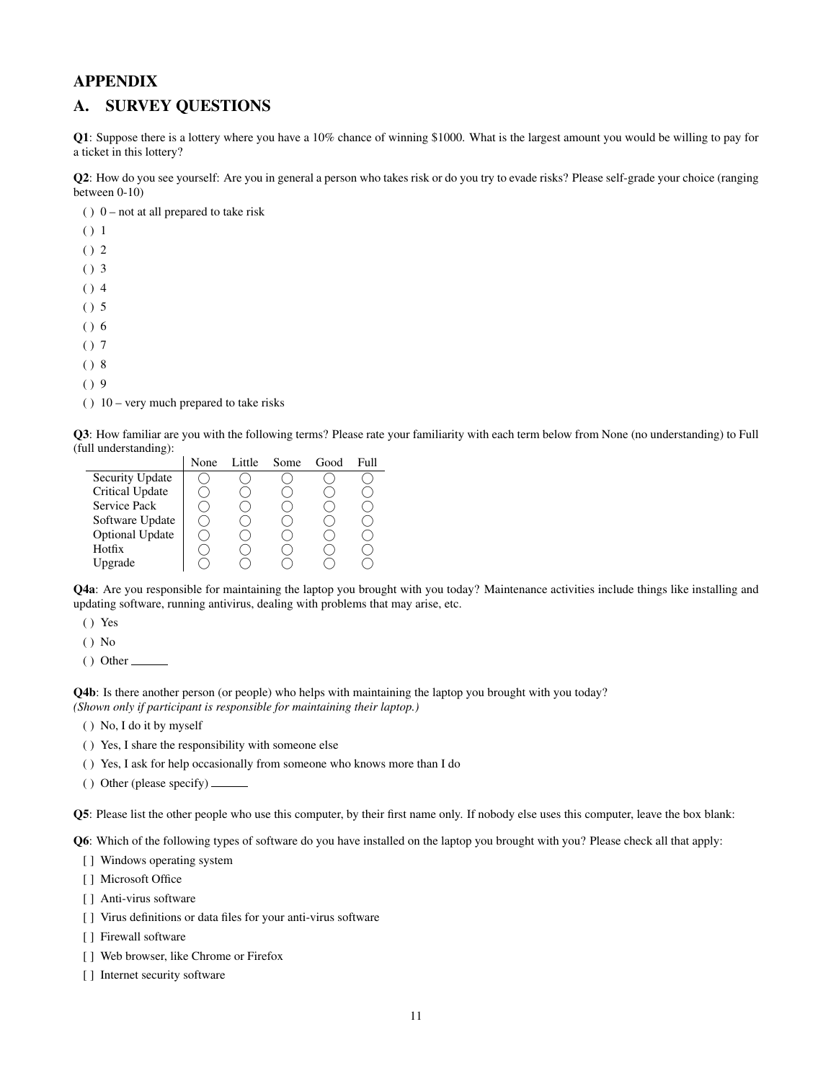# APPENDIX

# A. SURVEY QUESTIONS

Q1: Suppose there is a lottery where you have a 10% chance of winning \$1000. What is the largest amount you would be willing to pay for a ticket in this lottery?

Q2: How do you see yourself: Are you in general a person who takes risk or do you try to evade risks? Please self-grade your choice (ranging between 0-10)

( )  $0$  – not at all prepared to take risk

( ) 1 ( ) 2 ( ) 3  $() 4$ ( ) 5 ( ) 6 ( ) 7 ( ) 8  $()$  9  $( ) 10 - very much prepared to take risks$ 

Q3: How familiar are you with the following terms? Please rate your familiarity with each term below from None (no understanding) to Full (full understanding):

|                        | None | Little. | Some | Good | Full |
|------------------------|------|---------|------|------|------|
| Security Update        |      |         |      |      |      |
| Critical Update        |      |         |      |      |      |
| Service Pack           |      |         |      |      |      |
| Software Update        |      |         |      |      |      |
| <b>Optional Update</b> |      |         |      |      |      |
| Hotfix                 |      |         |      |      |      |
| Upgrade                |      |         |      |      |      |

Q4a: Are you responsible for maintaining the laptop you brought with you today? Maintenance activities include things like installing and updating software, running antivirus, dealing with problems that may arise, etc.

( ) Yes

( ) No

 $()$  Other  $\_\_$ 

Q4b: Is there another person (or people) who helps with maintaining the laptop you brought with you today? *(Shown only if participant is responsible for maintaining their laptop.)*

- ( ) No, I do it by myself
- ( ) Yes, I share the responsibility with someone else
- ( ) Yes, I ask for help occasionally from someone who knows more than I do

( ) Other (please specify) \_

Q5: Please list the other people who use this computer, by their first name only. If nobody else uses this computer, leave the box blank:

Q6: Which of the following types of software do you have installed on the laptop you brought with you? Please check all that apply:

- [] Windows operating system
- [ ] Microsoft Office
- [] Anti-virus software
- [] Virus definitions or data files for your anti-virus software
- [ ] Firewall software
- [ ] Web browser, like Chrome or Firefox
- [] Internet security software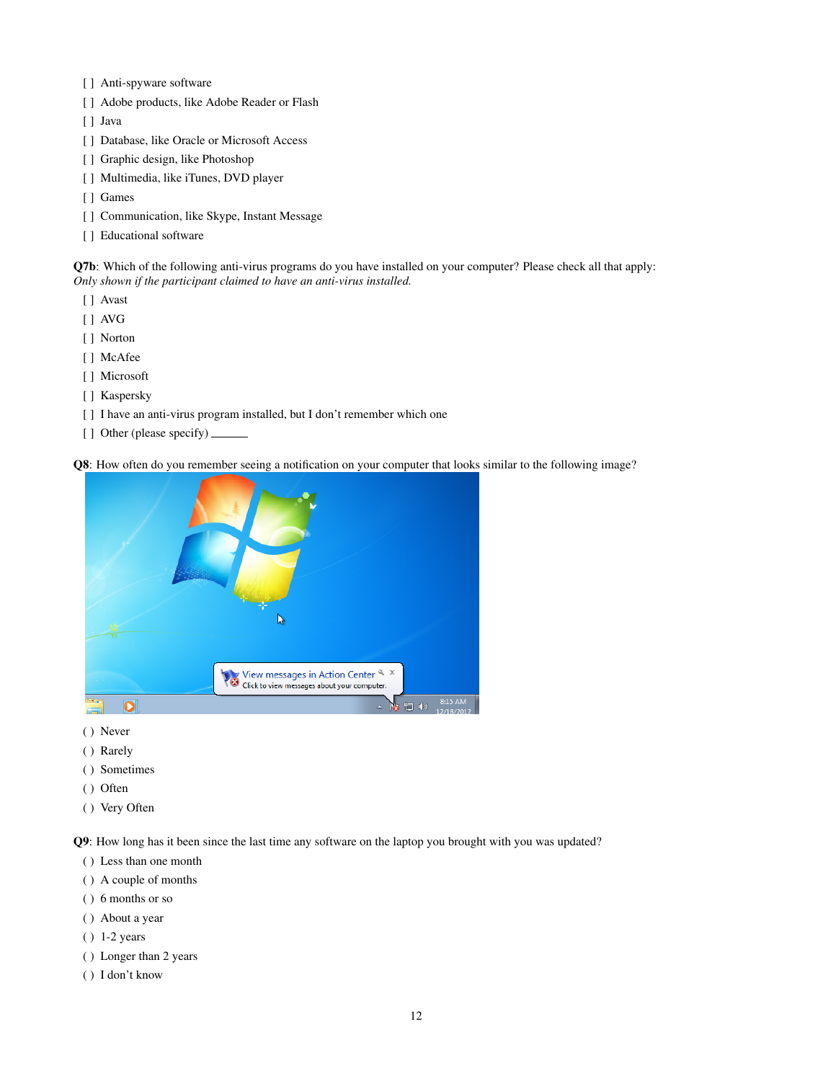- [ ] Anti-spyware software
- [ ] Adobe products, like Adobe Reader or Flash
- [ ] Java
- [ ] Database, like Oracle or Microsoft Access
- [] Graphic design, like Photoshop
- [ ] Multimedia, like iTunes, DVD player
- [ ] Games
- [ ] Communication, like Skype, Instant Message
- [ ] Educational software

Q7b: Which of the following anti-virus programs do you have installed on your computer? Please check all that apply: *Only shown if the participant claimed to have an anti-virus installed.*

- [ ] Avast
- [ ] AVG
- [ ] Norton
- [ ] McAfee
- [ ] Microsoft
- [ ] Kaspersky
- [] I have an anti-virus program installed, but I don't remember which one
- [ ] Other (please specify)  $\_\_$

Q8: How often do you remember seeing a notification on your computer that looks similar to the following image?



- ( ) Never
- ( ) Rarely
- ( ) Sometimes
- ( ) Often
- ( ) Very Often

Q9: How long has it been since the last time any software on the laptop you brought with you was updated?

- ( ) Less than one month
- ( ) A couple of months
- ( ) 6 months or so
- ( ) About a year
- ( ) 1-2 years
- ( ) Longer than 2 years
- ( ) I don't know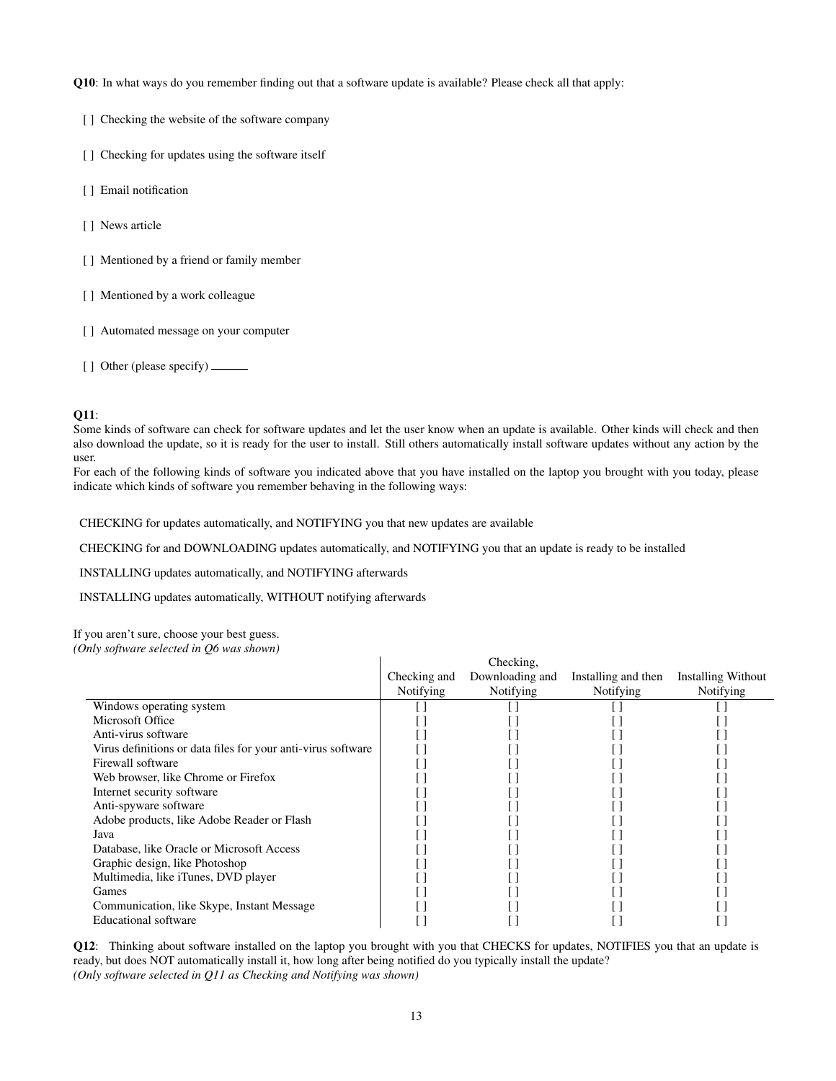Q10: In what ways do you remember finding out that a software update is available? Please check all that apply:

- [ ] Checking the website of the software company
- [] Checking for updates using the software itself
- [ ] Email notification
- [ ] News article
- [ ] Mentioned by a friend or family member
- [ ] Mentioned by a work colleague
- [ ] Automated message on your computer
- [ ] Other (please specify)

#### **O11:**

Some kinds of software can check for software updates and let the user know when an update is available. Other kinds will check and then also download the update, so it is ready for the user to install. Still others automatically install software updates without any action by the user.

For each of the following kinds of software you indicated above that you have installed on the laptop you brought with you today, please indicate which kinds of software you remember behaving in the following ways:

CHECKING for updates automatically, and NOTIFYING you that new updates are available

CHECKING for and DOWNLOADING updates automatically, and NOTIFYING you that an update is ready to be installed

INSTALLING updates automatically, and NOTIFYING afterwards

INSTALLING updates automatically, WITHOUT notifying afterwards

If you aren't sure, choose your best guess.

*(Only software selected in Q6 was shown)*

| $\ldots$ , software selected in $\varphi$ , was shown,       | Checking and<br><b>Notifying</b> | Checking,<br>Downloading and<br>Notifying | Installing and then<br><b>Notifying</b> | <b>Installing Without</b><br>Notifying |
|--------------------------------------------------------------|----------------------------------|-------------------------------------------|-----------------------------------------|----------------------------------------|
| Windows operating system                                     |                                  |                                           |                                         |                                        |
| Microsoft Office                                             |                                  |                                           |                                         |                                        |
| Anti-virus software                                          |                                  |                                           |                                         |                                        |
| Virus definitions or data files for your anti-virus software |                                  |                                           |                                         |                                        |
| Firewall software                                            |                                  |                                           |                                         |                                        |
| Web browser, like Chrome or Firefox                          |                                  |                                           |                                         |                                        |
| Internet security software                                   |                                  |                                           |                                         |                                        |
| Anti-spyware software                                        |                                  |                                           |                                         |                                        |
| Adobe products, like Adobe Reader or Flash                   |                                  |                                           |                                         |                                        |
| Java                                                         |                                  |                                           |                                         |                                        |
| Database, like Oracle or Microsoft Access                    |                                  |                                           |                                         |                                        |
| Graphic design, like Photoshop                               |                                  |                                           |                                         |                                        |
| Multimedia, like iTunes, DVD player                          |                                  |                                           |                                         |                                        |
| Games                                                        |                                  |                                           |                                         |                                        |
| Communication, like Skype, Instant Message                   |                                  |                                           |                                         |                                        |
| <b>Educational software</b>                                  |                                  |                                           |                                         |                                        |

Q12: Thinking about software installed on the laptop you brought with you that CHECKS for updates, NOTIFIES you that an update is ready, but does NOT automatically install it, how long after being notified do you typically install the update? *(Only software selected in Q11 as Checking and Notifying was shown)*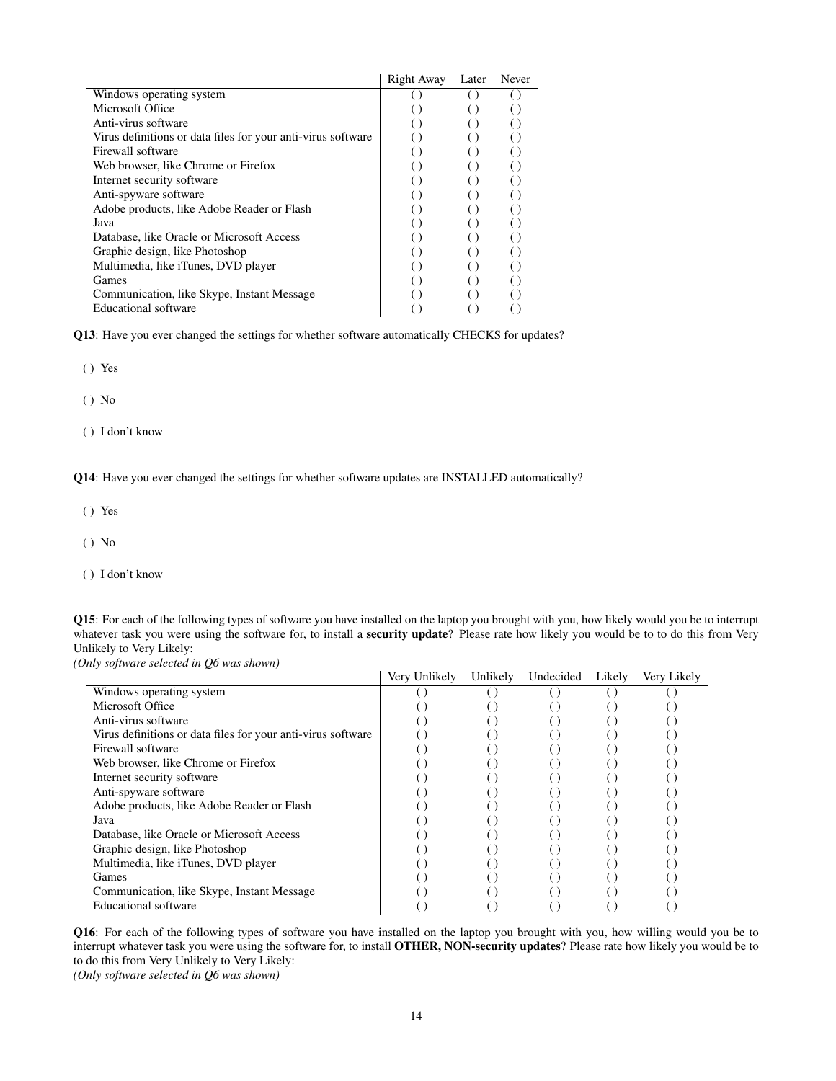|                                                              | Right Away | Later | Never |
|--------------------------------------------------------------|------------|-------|-------|
| Windows operating system                                     |            |       |       |
| Microsoft Office                                             |            |       |       |
| Anti-virus software                                          |            |       |       |
| Virus definitions or data files for your anti-virus software |            |       |       |
| Firewall software                                            |            |       |       |
| Web browser, like Chrome or Firefox                          |            |       |       |
| Internet security software                                   |            |       |       |
| Anti-spyware software                                        |            |       |       |
| Adobe products, like Adobe Reader or Flash                   |            |       |       |
| Java                                                         |            |       |       |
| Database, like Oracle or Microsoft Access                    |            |       |       |
| Graphic design, like Photoshop                               |            |       |       |
| Multimedia, like iTunes, DVD player                          |            |       |       |
| Games                                                        |            |       |       |
| Communication, like Skype, Instant Message                   |            |       |       |
| <b>Educational software</b>                                  |            |       |       |

Q13: Have you ever changed the settings for whether software automatically CHECKS for updates?

( ) Yes

( ) No

( ) I don't know

Q14: Have you ever changed the settings for whether software updates are INSTALLED automatically?

( ) Yes

( ) No

( ) I don't know

Q15: For each of the following types of software you have installed on the laptop you brought with you, how likely would you be to interrupt whatever task you were using the software for, to install a security update? Please rate how likely you would be to to do this from Very Unlikely to Very Likely:

*(Only software selected in Q6 was shown)*

|                                                              | Very Unlikely | Unlikely | Undecided | Likely | Very Likely |
|--------------------------------------------------------------|---------------|----------|-----------|--------|-------------|
| Windows operating system                                     |               |          |           |        |             |
| Microsoft Office                                             |               |          |           |        |             |
| Anti-virus software                                          |               |          |           |        |             |
| Virus definitions or data files for your anti-virus software |               |          |           |        |             |
| Firewall software                                            |               |          |           |        |             |
| Web browser, like Chrome or Firefox                          |               |          |           |        |             |
| Internet security software                                   |               |          |           |        |             |
| Anti-spyware software                                        |               |          |           |        |             |
| Adobe products, like Adobe Reader or Flash                   |               |          |           |        |             |
| Java                                                         |               |          |           |        |             |
| Database, like Oracle or Microsoft Access                    |               |          |           |        |             |
| Graphic design, like Photoshop                               |               |          |           |        |             |
| Multimedia, like iTunes, DVD player                          |               |          |           |        |             |
| Games                                                        |               |          |           |        |             |
| Communication, like Skype, Instant Message                   |               |          |           |        |             |
| <b>Educational</b> software                                  |               |          |           |        |             |

Q16: For each of the following types of software you have installed on the laptop you brought with you, how willing would you be to interrupt whatever task you were using the software for, to install OTHER, NON-security updates? Please rate how likely you would be to to do this from Very Unlikely to Very Likely:

*(Only software selected in Q6 was shown)*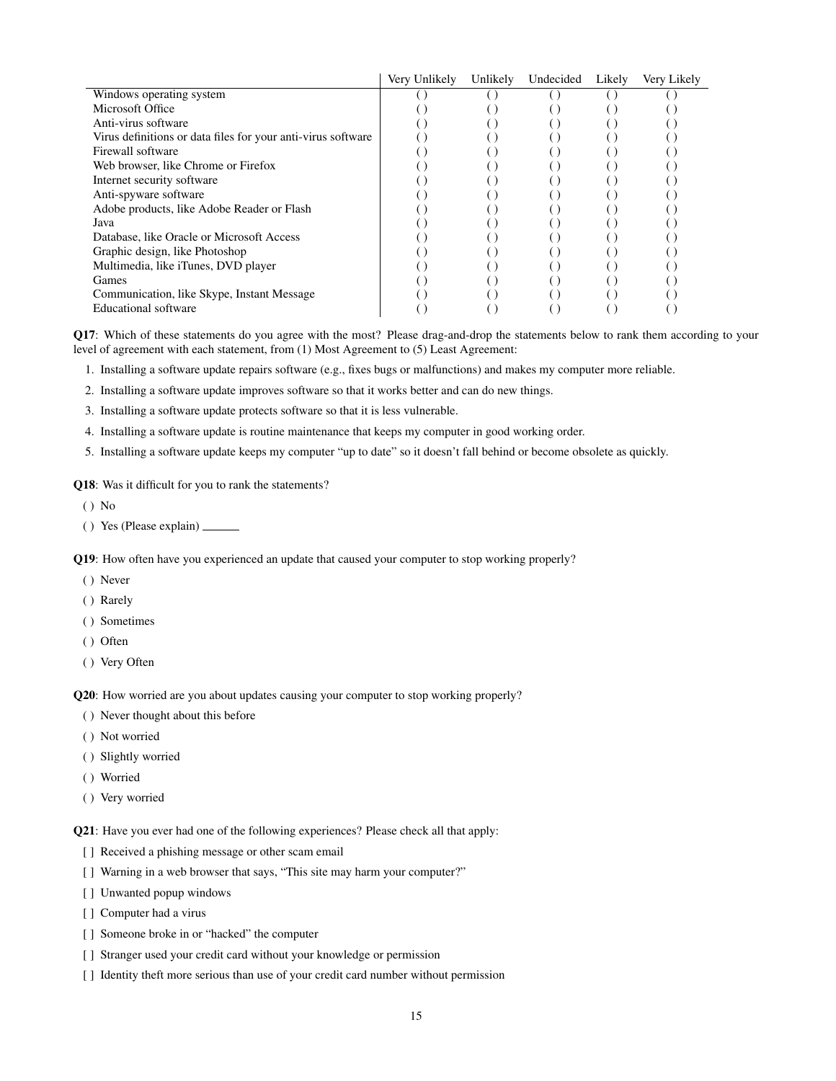|                                                              | Very Unlikely | Unlikely | Undecided | Likely | Verv Likelv |
|--------------------------------------------------------------|---------------|----------|-----------|--------|-------------|
| Windows operating system                                     |               |          |           |        |             |
| Microsoft Office                                             |               |          |           |        |             |
| Anti-virus software                                          |               |          |           |        |             |
| Virus definitions or data files for your anti-virus software |               |          |           |        |             |
| Firewall software                                            |               |          |           |        |             |
| Web browser, like Chrome or Firefox                          |               |          |           |        |             |
| Internet security software                                   |               |          |           |        |             |
| Anti-spyware software                                        |               |          |           |        |             |
| Adobe products, like Adobe Reader or Flash                   |               |          |           |        |             |
| Java                                                         |               |          |           |        |             |
| Database, like Oracle or Microsoft Access                    |               |          |           |        |             |
| Graphic design, like Photoshop                               |               |          |           |        |             |
| Multimedia, like iTunes, DVD player                          |               |          |           |        |             |
| Games                                                        |               |          |           |        |             |
| Communication, like Skype, Instant Message                   |               |          |           |        |             |
| Educational software                                         |               |          |           |        |             |

Q17: Which of these statements do you agree with the most? Please drag-and-drop the statements below to rank them according to your level of agreement with each statement, from (1) Most Agreement to (5) Least Agreement:

1. Installing a software update repairs software (e.g., fixes bugs or malfunctions) and makes my computer more reliable.

2. Installing a software update improves software so that it works better and can do new things.

- 3. Installing a software update protects software so that it is less vulnerable.
- 4. Installing a software update is routine maintenance that keeps my computer in good working order.

5. Installing a software update keeps my computer "up to date" so it doesn't fall behind or become obsolete as quickly.

Q18: Was it difficult for you to rank the statements?

- ( ) No
- ( ) Yes (Please explain)

Q19: How often have you experienced an update that caused your computer to stop working properly?

- ( ) Never
- ( ) Rarely
- ( ) Sometimes
- ( ) Often
- ( ) Very Often

Q20: How worried are you about updates causing your computer to stop working properly?

- ( ) Never thought about this before
- ( ) Not worried
- ( ) Slightly worried
- ( ) Worried
- ( ) Very worried

Q21: Have you ever had one of the following experiences? Please check all that apply:

- [ ] Received a phishing message or other scam email
- [ ] Warning in a web browser that says, "This site may harm your computer?"
- [ ] Unwanted popup windows
- [ ] Computer had a virus
- [ ] Someone broke in or "hacked" the computer
- [] Stranger used your credit card without your knowledge or permission
- [] Identity theft more serious than use of your credit card number without permission